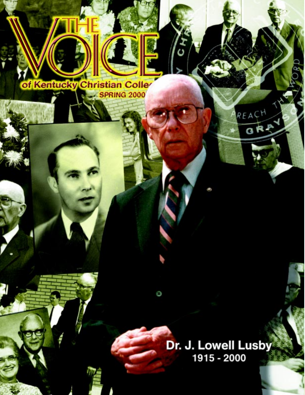

Ē

Dr. J. Lowell Lusby 1915 - 2000

REACH

GRA

င်

Θ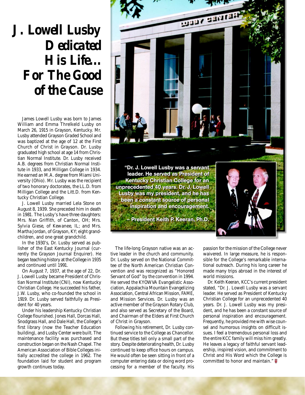# **J. Lowell Lusby Dedicated His Life... For The Good of the Cause**

James Lowell Lusby was born to James William and Emma Threlkeld Lusby on March 26, 1915 in Grayson, Kentucky. Mr. Lusby attended Grayson Graded School and was baptized at the age of 12 at the First Church of Christ in Grayson. Dr. Lusby graduated high school at age 14 from Christian Normal Institute. Dr. Lusby received A.B. degrees from Christian Normal Institute in 1933, and Milligan College in 1934. He earned an M.A. degree from Miami University (Ohio). Mr. Lusby was the recipient of two honorary doctorates, the LL.D. from Milligan College and the Litt.D. from Kentucky Christian College.

J. Lowell Lusby married Lela Stone on August 8, 1939. She preceded him in death in 1981. The Lusby's have three daughters: Mrs. Nan Griffith, of Canton, OH; Mrs. Sylvia Giese, of Kewanee, IL; and Mrs. Martha Jordan, of Grayson, KY; eight grandchildren, and one great grandchild.

In the 1930's, Dr. Lusby served as publisher of the East Kentucky Journal (currently the Grayson Journal Enquirer). He began teaching history at the College in 1935 and continued until 1991.

On August 7, 1937, at the age of 22, Dr. J. Lowell Lusby became President of Christian Normal Institute (CNI), now Kentucky Christian College. He succeeded his father, J.W. Lusby, who co-founded the school in 1919. Dr. Lusby served faithfully as President for 40 years.

Under his leadership Kentucky Christian College flourished. Jones Hall, Dorcas Hall, Snodgrass Hall, and Dale Hall, the College's first library (now the Teacher Education building), and Lusby Center were built. The maintenance facility was purchased and construction began on the Nash Chapel. The American Association of Bible Colleges initially accredited the college in 1962. The foundation laid for student and program growth continues today.



The life-long Grayson native was an active leader in the church and community. Dr. Lusby served on the National Committee of the North American Christian Convention and was recognized as "Honored Servant of God" by the convention in 1994. He served the KYOWVA Evangelistic Association, Appalachia Mountain Evangelizing Association, Central African Mission, FAME, and Mission Services. Dr. Lusby was an active member of the Grayson Rotary Club, and also served as Secretary of the Board, and Chairman of the Elders at First Church of Christ in Grayson.

Following his retirement, Dr. Lusby continued service to the College as Chancellor. But these titles tell only a small part of the story. Despite deteriorating health, Dr. Lusby continued to keep office hours on campus. He would often be seen sitting in front of a computer entering data or doing word processing for a member of the faculty. His

passion for the mission of the College never waivered. In large measure, he is responsible for the College's remarkable international outreach. During his long career he made many trips abroad in the interest of world missions.

Dr. Keith Keeran, KCC's current president stated, "Dr. J. Lowell Lusby was a servant leader. He served as President of Kentucky Christian College for an unprecedented 40 years. Dr. J. Lowell Lusby was my president, and he has been a constant source of personal inspiration and encouragement. Frequently, he provided me with wise counsel and humorous insights on difficult issues. I feel a tremendous personal loss and the entire KCC family will miss him greatly. He leaves a legacy of faithful servant leadership, inspired vision, and commitment to Christ and His Word which the College is committed to honor and maintain." **□**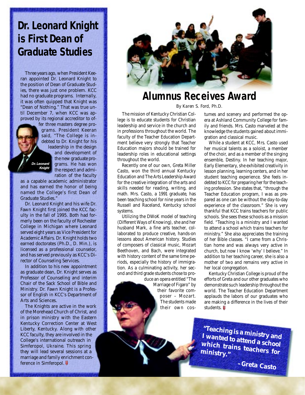## **Dr. Leonard Knight is First Dean of Graduate Studies**

Three years ago, when President Keeran appointed Dr. Leonard Knight to the position of Dean of Graduate Studies, there was just one problem. KCC had no graduate programs. Internally, it was often quipped that Knight was "Dean of Nothing." That was true until December 7, when KCC was approved by its regional accreditor to of-

fer three masters degree programs. President Keeran said, "The College is indebted to Dr. Knight for his leadership in the design and development of the new graduate programs. He has won the respect and admiration of the faculty as a capable academic administrator *Dr. Leonard Knight*

and has earned the honor of being named the College's first Dean of Graduate Studies."

Dr. Leonard Knight and his wife Dr. Fawn Knight first joined the KCC faculty in the fall of 1995. Both had formerly been on the faculty of Rochester College in Michigan where Leonard served eight years as Vice President for Academic Affairs. Dr. Knight holds two earned doctorates (Ph.D., D. Min.), is licensed as a professional counselor, and has served previously as KCC's Director of Counseling Services.

In addition to his new appointment as graduate dean, Dr. Knight serves as Professor of Counseling and interim Chair of the Sack School of Bible and Ministry. Dr. Fawn Knight is a Professor of English in KCC's Department of Arts and Sciences.

The Knights are active in the work of the Morehead Church of Christ, and in prison ministry with the Eastern Kentucky Correction Center at West Liberty, Kentucky. Along with other KCC faculty, they are involved in the College's international outreach in Simferopol, Ukraine. This spring they will lead several sessions at a marriage and family enrichment conference in Simferopol.



### **Alumnus Receives Award**

*By Karen S. Ford, Ph.D.*

The mission of Kentucky Christian College is to educate students for Christian leadership and service in the church and in professions throughout the world. The faculty of the Teacher Education Department believe very strongly that Teacher Education majors should be trained for leadership roles in educational settings throughout the world.

Recently one of our own, Greta Miller Casto, won the third annual Kentucky Education and The Arts Leadership Award for the creative integration of the arts and skills needed for reading, writing, and math. Mrs. Casto, a 1991 graduate, has been teaching school for nine years in the Russell and Raceland, Kentucky school systems.

Utilizing the DWoK model of teaching (Different Ways of Knowing), she and her husband Mark, a fine arts teacher, collaborated to produce creative, hands-on lessons about American history. Studies of composers of classical music, Mozart Beethoven, and Bach, were integrated with history content of the same time periods, especially the history of immigration. As a culminating activity, her second and third grade students chose to pro-

> duce an opera entitled "The Marriage of Figaro" by their favorite composer – Mozart. The students made their own cos

tumes and scenery and performed the opera at Ashland Community College for family and friends. Mrs. Casto marveled at the knowledge the students gained about immigration and classical music.

While a student at KCC, Mrs. Casto used her musical talents as a soloist, a member of the choir, and as a member of the singing ensemble, Destiny. In her teaching major, Early Elementary, she exhibited creativity in lesson planning, learning centers, and in her student teaching experience. She feels indebted to KCC for preparing her for the teaching profession. She states that, "through the Teacher Education program, I was as prepared as one can be without the day-to-day experience of the classroom." She is very thankful that KCC trains teachers for public schools. She sees these schools as a mission field. "Teaching is a ministry and I wanted to attend a school which trains teachers for ministry." She also appreciates the training of her Bible classes. "I came from a Christian home and was always very active in church, but now I know 'why' I believe." In addition to her teaching career, she is also a mother of two and remains very active in her local congregation.

Kentucky Christian College is proud of the efforts of Greta and our other graduates who demonstrate such leadership throughout the world. The Teacher Education Department applauds the labors of our graduates who are making a difference in the lives of their students.

**"Teaching is a ministry and I wanted to attend a school which trains teachers for ministry."**

 **–Greta Casto**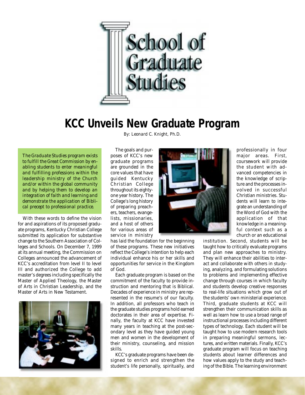

### **KCC Unveils New Graduate Program**

*By: Leonard C. Knight, Ph.D.*

*The Graduate Studies program exists to fulfill the Great Commission by enabling students to enter meaningful and fulfilling professions within the leadership ministry of the Church and/or within the global community and by helping them to develop an integration of faith and learning and demonstrate the application of Biblical precept to professional practice.*

With these words to define the vision for and aspirations of its proposed graduate programs, Kentucky Christian College submitted its application for substantive change to the Southern Association of Colleges and Schools. On December 7, 1999 at its annual meeting, the Commission on Colleges announced the advancement of KCC's accreditation from level II to level III and authorized the College to add master's degrees including specifically the Master of Applied Theology, the Master of Arts in Christian Leadership, and the Master of Arts in New Testament.



The goals and purposes of KCC's new graduate programs are grounded in the core values that have guided Kentucky Christian College throughout its eightyone year history. The College's long history of preparing preachers, teachers, evangelists, missionaries, and a host of others for various areas of service in ministry

has laid the foundation for the beginning of these programs. These new initiatives reflect the College's intention to help each individual enhance his or her skills and opportunities for service in the Kingdom of God.

Each graduate program is based on the commitment of the faculty to provide instruction and mentoring that is Biblical. Decades of experience in ministry are represented in the resume's of our faculty. In addition, all professors who teach in the graduate studies programs hold earned doctorates in their area of expertise. Finally, the faculty at KCC have invested many years in teaching at the post-secondary level as they have guided young men and women in the development of their ministry, counseling, and mission skills.

KCC's graduate programs have been designed to enrich and strengthen the student's life personally, spiritually, and professionally in four major areas. First, coursework will provide the student with advanced competencies in the knowledge of scripture and the processes involved in successful Christian ministries. Students will learn to integrate an understanding of the Word of God with the application of that knowledge in a meaningful context such as a church or an educational

institution. Second, students will be taught how to critically evaluate programs and plan new approaches to ministry. They will enhance their abilities to interact and collaborate with others in studying, analyzing, and formulating solutions to problems and implementing effective change through courses in which faculty and students develop creative responses to real-life situations which grow out of the students' own ministerial experience. Third, graduate students at KCC will strengthen their communication skills as well as learn how to use a broad range of instructional processes including different types of technology. Each student will be taught how to use modern research tools in preparing meaningful sermons, lectures, and written materials. Finally, KCC's graduate program will focus on teaching students about learner differences and how values apply to the study and teaching of the Bible. The learning environment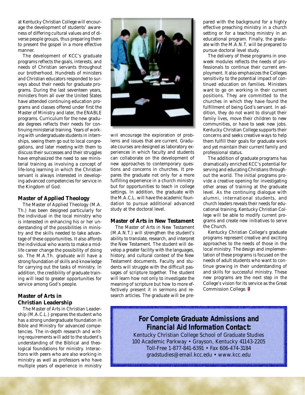at Kentucky Christian College will encourage the development of students' awareness of differing cultural values and of diverse people groups, thus preparing them to present the gospel in a more effective manner.

The development of KCC's graduate programs reflects the goals, interests, and needs of Christian servants throughout our brotherhood. Hundreds of ministers and Christian educators responded to surveys about their needs for graduate programs. During the last seventeen years, ministers from all over the United States have attended continuing education programs and classes offered under first the Master of Ministry and later, the ENABLE programs. Curriculum for the new graduate degrees reflects their needs for continuing ministerial training. Years of working with undergraduate students in internships, seeing them go out to local congregations, and later meeting with them to discuss their successes and their struggles have emphasized the need to see ministerial training as involving a concept of life-long learning in which the Christian servant is always interested in developing advanced competencies for service in the Kingdom of God.

#### **Master of Applied Theology**

The Master of Applied Theology (M.A. Th.) has been designed particularly for the individual in the local ministry who is interested in enhancing his or her understanding of the possibilities in ministry and the skills needed to take advantage of these opportunities. It also affords the individual who wants to make a midlife career change the possibility of doing so. The M.A.Th. graduate will have a strong foundation of skills and knowledge for carrying out the tasks of ministry. In addition, the credibility of graduate training will lead to greater opportunities for service among God's people.

#### **Master of Arts in Christian Leadership**

The Master of Arts in Christian Leadership (M.A.C.L.) prepares the student who has a strong undergraduate foundation in Bible and Ministry for advanced competencies. The in-depth research and writing requirements will add to the student's understanding of the Biblical and theological foundations for ministry. Interactions with peers who are also working in ministry as well as professors who have multiple years of experience in ministry



will encourage the exploration of problems and issues that are current. Graduate courses are designed as laboratory experiences in which faculty and students can collaborate on the development of new approaches to contemporary questions and concerns in churches. It prepares the graduate not only for a more fulfilling experience in a church ministry but for opportunities to teach in college settings. In addition, the graduate with the M.A.C.L. will have the academic foundation to pursue additional advanced study at the doctoral level.

#### **Master of Arts in New Testament**

The Master of Arts in New Testament (M.A.N.T.) will strengthen the student's ability to translate, research, and interpret the New Testament. The student will develop a greater facility with the languages, history, and cultural context of the New Testament documents. Faculty and students will struggle with the difficult passages of scripture together. The student will learn how not only to investigate the meaning of scripture but how to more effectively present it in sermons and research articles. The graduate will be prepared with the background for a highly effective preaching ministry in a church setting or for a teaching ministry in an educational program. Finally, the graduate with the M.A.N.T. will be prepared to pursue doctoral level study.

The delivery of these programs in oneweek modules reflects the needs of professionals to continue their current employment. It also emphasizes the Colleges sensitivity to the potential impact of continued education on families. Ministers want to go on working in their current positions. They are committed to the churches in which they have found the fulfillment of being God's servant. In addition, they do not want to disrupt their family lives, move their children to new communities, or have to seek new jobs. Kentucky Christian College supports their concerns and seeks creative ways to help them fulfill their goals for graduate work and yet maintain their current family and professional status.

The addition of graduate programs has dramatically enriched KCC's potential for serving and educating Christians throughout the world. The initial programs provide a creative opening for investigating other areas of training at the graduate level. As the continuing dialogue with alumni, international students, and church leaders reveals their needs for educational training, Kentucky Christian College will be able to modify current programs and create new initiatives to serve the Church.

Kentucky Christian College's graduate programs represent creative and exciting approaches to the needs of those in the local ministry. The design and implementation of these programs is focused on the needs of adult students who want to continue growing in their understanding of and skills for successful ministry. These new programs are the next step in the College's vision for its service as the Great Commission College.

### **For Complete Graduate Admissions and Financial Aid Information Contact:**

Kentucky Christian College School of Graduate Studies 100 Academic Parkway • Grayson, Kentucky 41143-2205 Toll-Free 1-877-841-6391 • Fax 606-474-3184 gradstudies@email.kcc.edu • www.kcc.edu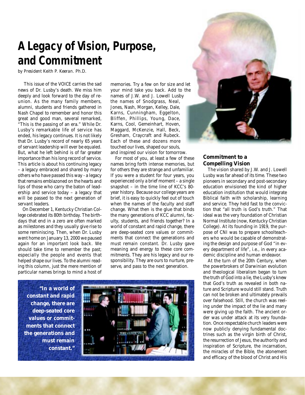## **A Legacy of Vision, Purpose, and Commitment**

*by President Keith P. Keeran. Ph.D.*

This issue of the *VOICE* carries the sad news of Dr. Lusby's death. We miss him deeply and look forward to the day of reunion. As the many family members, alumni, students and friends gathered in Nash Chapel to remember and honor this great and good man, several remarked, "This is the passing of an era." While Dr. Lusby's remarkable life of service has ended, his legacy continues. It is not likely that Dr. Lusby's record of nearly 65 years of servant leadership will ever be equaled. But, what he left behind is of far greater importance than his long record of service. This article is about his continuing legacy – a legacy embraced and shared by many others who have passed this way - a legacy that remains emblazoned on the hearts and lips of those who carry the baton of leadership and service today – a legacy that will be passed to the next generation of servant leaders.

On December 1, Kentucky Christian College celebrated its 80th birthday. The birthdays that end in a zero are often marked as milestones and they usually give rise to some reminiscing. Then, when Dr. Lusby went home on January 13, 2000 we paused again for an important look back. We should take time to remember the past; especially the people and events that helped shape our lives. To the alumni reading this column, just the mere mention of particular names brings to mind a host of

memories. Try a few on for size and let your mind take you back. Add to the names of J.W. and J. Lowell Lusby the names of Snodgrass, Neal, Jones, Nash, Morgan, Kelley, Dale, Karns, Cunningham, Eggelton, Bliffen, Phillips, Young, Dace, Karns, Cool, Gemeinhart, Hoven, Maggard, McKenzie, Hall, Beck, Gresham, Craycraft and Rubeck. Each of these and dozens more touched our lives, shaped our souls, and inspired our vision for tomorrow.

For most of you, at least a few of these names bring forth intense memories, but for others they are strange and unfamiliar. If you were a student for four years, you experienced only a brief moment – a single snapshot – in the time line of KCC's 80 year history. Because our college years are brief, it is easy to quickly feel out of touch when the names of the faculty and staff change. What then is the glue that binds the many generations of KCC alumni, faculty, students, and friends together? In a world of constant and rapid change, there are deep-seated core values or commitments that connect the generations and must remain constant. Dr. Lusby gave meaning and energy to these core commitments. They are his legacy and our responsibility. They are ours to nurture, preserve, and pass to the next generation.

**"In a world of constant and rapid change, there are deep-seated core values or commitments that connect the generations and must remain constant."**





#### **Commitment to a Compelling Vision**

The vision shared by J.W. and J. Lowell Lusby was far ahead of its time. These two pioneers in secondary and post-secondary education envisioned the kind of higher education institution that would integrate Biblical faith with scholarship, learning and service. They held fast to the conviction that "all truth is God's truth." That ideal was the very foundation of Christian Normal Institute (now, Kentucky Christian College). At its founding in 1919, the purpose of CNI was to prepare schoolteachers who would be capable of demonstrating the design and purpose of God "in every department of life", i.e., in every academic discipline and human endeavor.

At the turn of the 20th Century, when the powerbrokers of Darwinian evolution and theological liberalism began to turn the truth of God into a lie, the Lusby's knew that God's truth as revealed in both nature and Scripture would still stand. Truth can not be broken and ultimately prevails over falsehood. Still, the church was reeling under the impact of the lie and many were giving up the faith. The ancient order was under attack at its very foundation. Once respectable church leaders were now publicly denying fundamental doctrines such as the virgin birth of Christ, the resurrection of Jesus, the authority and inspiration of Scripture, the incarnation, the miracles of the Bible, the atonement and efficacy of the blood of Christ and His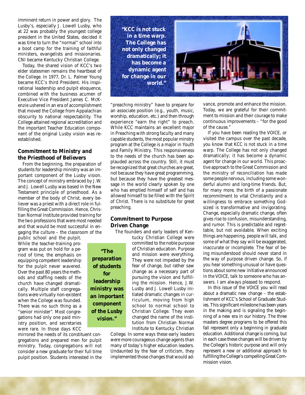imminent return in power and glory. The Lusby's, especially J. Lowell Lusby, who at 22 was probably the youngest college president in the United States, decided it was time to turn the "normal" school into a boot camp for the training of faithful ministers, evangelists and missionaries. CNI became Kentucky Christian College.

Today, the shared vision of KCC's two elder statesmen remains the heartbeat of the College. In 1977, Dr. L. Palmer Young became KCC's third President. His inspirational leadership and pulpit eloquence, combined with the business acumen of Executive Vice President James C. McKenzie ushered in an era of accomplishment that moved the College from Appalachian obscurity to national respectability. The College attained regional accreditation and the important Teacher Education component of the original Lusby vision was reestablished.

#### **Commitment to Ministry and the Priesthood of Believers**

From the beginning, the preparation of students for leadership ministry was an important component of the Lusby vision. The concept of ministry embraced by J.W. and J. Lowell Lusby was based in the New Testament principle of priesthood. As a member of the body of Christ, every believer was a priest with a direct role in fulfilling the Great Commission. Hence, Christian Normal Institute provided training for the two professions that were most needed and that would be most successful in engaging the culture – the classroom of the

public school and the pulpit. While the teacher-training program was put on hold for a period of time, the emphasis on equipping competent leadership for the pulpit never wavered. Over the past 80 years the methods and staffing needs of the church have changed dramatically. Multiple staff congregations were virtually non-existent when the College was founded. There was no such thing as a "senior minister". Most congregations had only one paid ministry position, and secretaries were rare. In those days KCC

mirrored the needs of its constituent congregations and prepared men for pulpit ministry. Today, congregations will not consider a new graduate for their full time pulpit position. Students interested in the **"KCC is not stuck in a time warp. The College has not only changed dramatically; it has become a dynamic agent for change in our world."**

"preaching ministry" have to prepare for an associate position (e.g., youth, music, worship, education, etc.) and then through experience "earn the right" to preach. While KCC maintains an excellent major in Preaching with strong faculty and many capable students, the most popular minstry program at the College is a major in Youth and Family Ministry. This responsiveness to the needs of the church has been applauded across the country. Still, it must be recognized that great churches are great, not because they have great programming, but because they have the greatest message in the world clearly spoken by one who has emptied himself of self and has allowed himself to be filled with the Spirit of Christ. There is no substitute for great preaching.

#### **Commitment to Purpose Driven Change**

The founders and early leaders of Ken-

**"The preparation of students for leadership ministry was an important component of the Lusby vision."**

tucky Christian College were committed to the noble purpose of Christian education. Purpose and mission were everything. They were not impeded by the fear of change, but rather saw change as a necessary part of pursuing the vision and fulfilling the mission. Hence, J.W. Lusby and J. Lowell Lusby initiated dramatic changes in curriculum, moving from high school to normal school to Christian College. They even changed the name of the institution from Christian Normal Institute to Kentucky Christian

College. In some ways these early leaders were more courageous change agents than many of today's higher education leaders. Undaunted by the fear of criticism, they implemented those changes that would advance, promote and enhance the mission. Today, we are grateful for their commitment to mission and their courage to make continuous improvements – "for the good of the cause."

If you have been reading the *VOICE*, or visited the campus over the past decade, you know that KCC is not stuck in a time warp. The College has not only changed dramatically; it has become a dynamic agent for change in our world. This proactive approach to the Great Commission and the ministry of reconciliation has made some people nervous, including some wonderful alumni and long-time friends. But, for many more, the birth of a passionate recommitment to vital Christianity and a willingness to embrace something Godsized is transformative and invigorating. Change, especially dramatic change, often gives rise to confusion, misunderstanding, and rumor. This is predictable and regrettable, but not avoidable. When exciting things are happening, people will talk, and some of what they say will be exaggerated, inaccurate or incomplete. The fear of being misunderstood should never stand in the way of purpose driven change. So, if you hear something unusual or have questions about some new initiative announced in the *VOICE*, talk to someone who has answers. I am always pleased to respond.

In this issue of the *VOICE* you will read about a dramatic new change – the establishment of KCC's School of Graduate Studies. This significant milestone has been years in the making and is signaling the beginning of a new era in our history. The three masters degree programs to be offered this fall represent only a beginning in graduate education. Additional change is coming, but in each case these changes will be driven by the College's historic purpose and will only represent a new or additional approach to fulfilling the College's compelling Great Commission vision.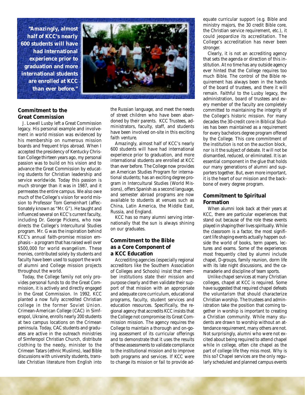**"Amazingly, almost half of KCC's nearly 600 students will have had international experience prior to graduation and more international students are enrolled at KCC than ever before."**



J. Lowell Lusby left a Great Commission legacy. His personal example and involvement in world mission was evidenced by his membership on numerous mission boards and frequent trips abroad. When I accepted the presidency of Kentucky Christian College thirteen years ago, my personal passion was to build on his vision and to advance the Great Commission by educating students for Christian leadership and service worldwide. Today this passion is much stronger than it was in 1987, and it permeates the entire campus. We also owe much of the College's vision for world mission to Professor Tom Gemeinhart (affectionately known as "Mr. G"). He taught and influenced several on KCC's current faculty, including Dr. George Pickens, who now directs the College's Intercultural Studies program. Mr. G was the inspiration behind KCC's annual faith-promise mission emphasis – a program that has raised well over \$500,000 for world evangelism. These monies, contributed solely by students and faculty have been used to support the work of alumni and College mission projects throughout the world.

Today, the College family not only provides personal funds to do the Great Commission, it is actively and directly engaged in the Great Commission. In 1992, KCC planted a now fully accredited Christian college in the former Soviet Union. Crimean-American College (CAC) in Simferopol, Ukraine, enrolls nearly 200 students at two campus locations on the Crimean peninsula. Today, CAC students and graduates are active in the outreach ministries of Simferopol Christian Church, distribute clothing to the needy, minister to the Crimean Tatars (ethnic Muslims), lead Bible discussions with university students, translate Christian literature from English into

the Russian language, and meet the needs of street children who have been abandoned by their parents. KCC Trustees, administrators, faculty, staff, and students have been involved on-site in this exciting faith venture.

Amazingly, almost half of KCC's nearly 600 students will have had international experience prior to graduation, and more international students are enrolled at KCC than ever before. The College now provides an American Studies Program for international students; has an exciting degree program in Intercultural Studies (World Missions), offers Spanish as a second language, and semester abroad programs are now available to students at venues such as China, Latin America, the Middle East, Russia, and England.

KCC has so many alumni serving internationally that the sun is always shining on our graduates.

#### **Commitment to the Bible as a Core Component of a KCC Education**

Accrediting agencies (especially regional accreditors like the Southern Association of Colleges and Schools) insist that member institutions state their mission and purpose clearly and then validate their support of that mission with an appropriate and adequate core curriculum, educational programs, faculty, student services and education resources. Specifically, the regional agency that accredits KCC insists that the College not compromise its Great Commission mission. The agency requires the College to maintain a thorough and on-going assessment of its curricular offerings and to demonstrate that it uses the results of these assessments to validate compliance to the institutional mission and to improve both programs and services. If KCC were to change its mission or fail to provide adequate curricular support (e.g. Bible and ministry majors, the 30 credit Bible core, the Christian service requirement, etc.), it could jeopardize its accreditation. The College's accreditation has never been stronger.

Clearly, it is not an accrediting agency that sets the agenda or direction of this institution. At no time has any outside agency ever hinted that the College requires too much Bible. The control of the Bible requirement has always been in the hands of the board of trustees, and there it will remain. Faithful to the Lusby legacy, the administration, board of trustees and every member of the faculty are completely committed to maintaining the integrity of the College's historic mission. For many decades the 30-credit core in Biblical Studies has been maintained as a requirement for every bachelors degree program offered by the College. This core commitment of the institution is not on the auction block, nor is it the subject of debate. It will not be dismantled, reduced, or eliminated. It is an essential component in the glue that holds our many generations of alumni and supporters together. But, even more important, it is the heart of our mission and the backbone of every degree program.

#### **Commitment to Spiritual Formation**

When alumni look back at their years at KCC, there are particular experiences that stand out because of the role these events played in shaping their lives spiritually. While the classroom is a factor, the most significant life shaping events actually happen outside the world of books, term papers, lectures and exams. Some of the experiences most frequently cited by alumni include chapel, D-groups, family reunion, dorm life with its late night discussions, and the camaraderie and discipline of team sports.

Unlike chapel services at many Christian colleges, chapel at KCC is required. Some have suggested that required chapel defeats the voluntarism that should characterize Christian worship. The trustees and administration take the position that coming together in worship is important to creating a Christian community. While many students are drawn to worship without an attendance requirement, many others are not. Not surprisingly, alumni who were not excited about being required to attend chapel while in college, often cite chapel as the part of college life they miss most. Why is this so? Chapel services are the only regularly scheduled and planned campus events

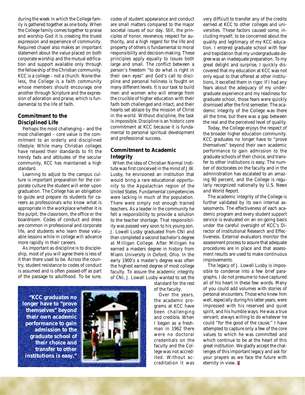during the week in which the College family is gathered together as one body. When the College family comes together to praise and worship God it is creating the truest expression and experience of community. Required chapel also makes an important statement about the value placed on both corporate worship and the mutual edification and support available only through the fellowship of the Christian community. KCC is a college – not a church. None-theless, the College is a faith community whose members should encourage one another through Scripture and the expression of adoration and praise, which is fundamental to the life of faith.

#### **Commitment to the Disciplined Life**

Perhaps the most challenging – and the most challenged – core value is the commitment to an orderly and disciplined lifestyle. While many Christian colleges have relaxed their standards to fit the trendy fads and attitudes of the secular community, KCC has maintained a high standard.

Learning to adjust to the campus culture is important preparation for the corporate culture the student will enter upon graduation. The College has an obligation to guide and prepare its students for careers as professionals who know what is appropriate in the workplace whether it is the pulpit, the classroom, the office or the boardroom. Codes of conduct and dress are common in professional and corporate life, and students who learn these valuable lessons while in college will advance more rapidly in their careers.

As important as discipline is to discipleship, most of you will agree there is less of it than there used to be. Across the country, student resistance to codes of conduct is assumed and is often passed-off as part of the passage to adulthood. To be sure,

codes of student appearance and conduct are small matters compared to the major societal issues of our day. Still, the principles of honor, reverence, respect for authority, and a high regard for the life and property of others is fundamental to moral responsibility and decision-making. These principles apply equally to issues both large and small. The conflict between a person's freedom "to do what is right in their own eyes" and God's call to discipline and personal holiness is fought on many different levels. It is our task to build men and women who will emerge from the crucible of higher education with their faith both challenged and intact, and their hearts set ablaze by the mission of Christ in the world. Without discipline, the task is impossible. Discipline is an historic core commitment at KCC because it is fundamental to personal spiritual development and professional success.

#### **Commitment to Academic Integrity**

 When the idea of Christian Normal Institute was first conceived in the mind of J.W. Lusby, he envisioned an institution that would bring a rare educational opportunity to the Appalachian region of the United States. Fundamental competencies were lacking in much of the population. There were simply not enough trained teachers. As a leader in the community he felt a responsibility to provide a solution to the teacher shortage. That responsibility was passed very soon to his young son. J. Lowell Lusby graduated from CNI and then completed a second bachelor's degree at Milligan College. After Milligan he earned a masters degree in history from Miami University in Oxford, Ohio. In the early 1900's a master's degree was often the highest earned degree of most college faculty. To assure the academic integrity of CNI, J. Lowell Lusby wanted to set the

standard for the rest of the faculty.

Over the years, the academic programs at KCC have been challenging and credible. When I began as a freshman in 1962 there were no doctoral credentials on the faculty and the College was not accredited. Without accreditation it was

very difficult to transfer any of the credits earned at KCC to other colleges and universities. These factors caused some, including myself, to be concerned about the quality and legitimacy of my KCC education. I entered graduate school with fear and trepidation that my undergraduate degree was an inadequate preparation. To my great delight and surprise, I quickly discovered that my education at KCC was not only equal to that offered at other institutions, it excelled them in rigor. If I had any fears about the adequacy of my undergraduate experience and my readiness for graduate school, those fears were quickly dismissed after the first semester. The academic integrity of the College was there all the time, but there was a gap between the real and the perceived level of quality.

Today, the College enjoys the respect of the broader higher education community. KCC graduates no longer have to "prove themselves" beyond their own academic performance to gain admission to the graduate schools of their choice, and transfer to other institutions is easy. The number of doctorates on the faculty and in the administration has escalated to an amazing 90 percent, and the College is regularly recognized nationally by *U.S. News and World Report*.

The academic integrity of the College is further validated by its own internal assessments. The effectiveness of each academic program and every student support service is evaluated on an on-going basis under the careful oversight of KCC's Director of Institutional Research and Effectiveness. External evaluators monitor the assessment process to assure that adequate procedures are in place and that assessment results are used to make continuous improvements.

The legacy of J. Lowell Lusby is impossible to condense into a few brief paragraphs. I do not presume to have captured all of his heart in these few words. Many of you could add volumes with stories of personal encounters. Those who knew him well, especially during his latter years, were impressed with his reserved and quiet spirit, and his humble ways. He was a true servant; always willing to do whatever he could "for the good of the cause." I have attempted to capture only a few of the core values to which he was committed and which continue to be at the heart of this great institution. We gladly accept the challenges of this important legacy and ask for your prayers as we face the future with eternity in view. **₩** 

**"KCC graduates no longer have to "prove themselves" beyond their own academic performance to gain admission to the graduate school of their choice and transfer to other institutions is easy."**

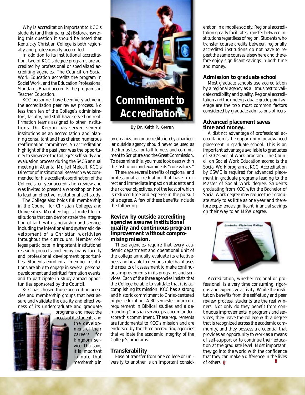students (and their parents)? Before answering this question it should be noted that Kentucky Christian College is both regionally and professionally accredited.

In addition to its institutional accreditation, two of KCC's degree programs are accredited by professional or specialized accrediting agencies. The Council on Social Work Education accredits the program in Social Work, and the Education Professional Standards Board accredits the programs in Teacher Education.

KCC personnel have been very active in the accreditation peer review process. No less than ten of the College's administrators, faculty, and staff have served on reaffirmation teams assigned to other institutions. Dr. Keeran has served several institutions as an accreditation and planning consultant and has chaired numerous reaffirmation committees. An accreditation highlight of the past year was the opportunity to showcase the College's self-study and evaluation process during the SACS annual meeting in Atlanta. Mr. Jeff Metcalf, KCC's Director of Institutional Research was commended for his excellent coordination of the College's ten-year accreditation review and was invited to present a workshop on how to lead an effective institutional self-study.

The College also holds full membership in the Council for Christian Colleges and Universities. Membership is limited to institutions that can demonstrate the integration of faith with scholarship and service, including the intentional and systematic development of a Christian worldview throughout the curriculum. Member colleges participate in important institutional research projects and enjoy many faculty and professional development opportunities. Students enrolled at member institutions are able to engage in several personal development and spiritual formation events, and to participate in study-abroad opportunities sponsored by the Council.

KCC has chosen those accrediting agencies and membership groups that best assure and validate the quality and effectiveness of its undergraduate and graduate

needs of its students and

programs and meet the the development of their careers for kingdom service. That said, it is important to note that membership in



*By Dr. Keith P. Keeran*

an organization or accreditation by a particular outside agency should never be used as the litmus test for faithfulness and commitment to Scripture and the Great Commission. To determine this, you must look deep within the institution and examine its "core values."

There are several benefits of regional and professional accreditation that have a direct and immediate impact on students and their career objectives, not the least of which is reduced time and expense in the pursuit of a degree. A few of these benefits include the following:

#### **Review by outside accrediting agencies assures institutional quality and continuous program improvement without compromising mission.**

These agencies require that every academic department and operational unit of the college annually evaluate its effectiveness and be able to demonstrate that it uses the results of assessment to make continuous improvements in its programs and services. Each of the three agencies insists that the College be able to validate that it is accomplishing its mission. KCC has a strong and historic commitment to Christ-centered higher education. A 30-semester hour core requirement in Biblical studies and a demanding Christian service practicum underscore this commitment. These requirements are fundamental to KCC's mission and are endorsed by the three accrediting agencies that validate the academic integrity of the College's programs.

#### **Transferability**

Ease of transfer from one college or university to another is an important consid-

eration in a mobile society. Regional accreditation greatly facilitates transfer between institutions regardless of region. Students who transfer course credits between regionally accredited institutions do not have to repeat the same courses elsewhere and therefore enjoy significant savings in both time and money.

#### **Admission to graduate school**

Most graduate schools use accreditation by a regional agency as a litmus test to validate credibility and quality. Regional accreditation and the undergraduate grade point average are the two most common factors considered by graduate admissions officers.

#### **Advanced placement saves time and money.**

A distinct advantage of professional accreditation is the opportunity for advanced placement in graduate school. This is an important advantage available to graduates of KCC's Social Work program. The Council on Social Work Education accredits the Social Work program at KCC. Accreditation by CSWE is required for advanced placement in graduate programs leading to the Master of Social Work degree. Students graduating from KCC with the Bachelor of Social Work degree may reduce their graduate study to as little as one year and therefore experience significant financial savings on their way to an MSW degree.



Accreditation, whether regional or professional, is a very time consuming, rigorous and expensive activity. While the institution benefits from the self-study and peer review process, students are the real winners. Not only do they benefit from continuous improvements in programs and services, they leave the college with a degree that is recognized across the academic community, and they possess a credential that provides an opportunity to work as a means of self-support or to continue their education at the graduate level. Most important, they go into the world with the confidence that they can make a difference in the lives of others. **ii**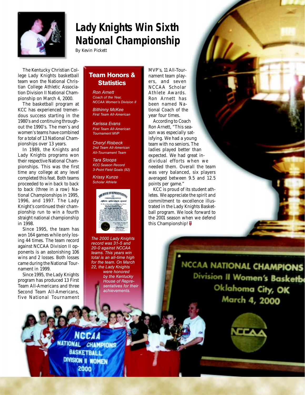

## **Lady Knights Win Sixth National Championship**

*By Kevin Pickett*

The Kentucky Christian College Lady Knights basketball team won the National Christian College Athletic Association Division II National Championship on March 4, 2000.

The basketball program at KCC has experienced tremendous success starting in the 1980's and continuing throughout the 1990's. The men's and women's teams have combined for a total of 13 National Championships over 13 years.

In 1989, the Knights and Lady Knights programs won their respective National Championships. This was the first time any college at any level completed this feat. Both teams proceeded to win back to back to back (three in a row) National Championships in 1995, 1996, and 1997. The Lady Knight's continued their championship run to win a fourth straight national championship in 1998.

Since 1995, the team has won 164 games while only losing 44 times. The team record against NCCAA Division II opponents is an astonishing 106 wins and 2 losses. Both losses came during the National Tournament in 1999.

Since 1995, the Lady Knights program has produced 13 First Team All-Americans and three Second Team All-Americans, five National Tournament

### **Team Honors & Statistics**

*Ron Arnett Coach of the Year, NCCAA Women's Division II*

*Bithinny McKee First Team All-American*

*Karissa Evans First Team All-American Tournament MVP*

*Cheryl Risbeck 2nd Team All-American All-Tournament Team*

*Tara Stoops KCC Season Record 3-Point Field Goals (92)*

*Krissy Kunze Scholar Athlete*



*The 2000 Lady Knights record was 31-5 and 20-0 against NCCAA teams. This years win total is an all-time high for the team. On March 22, the Lady Knights were honored by the Kentucky House of Representatives for their achievements.*

MVP's, 11 All-Tournament team players, and seven NCCAA Scholar Athlete Awards. Ron Arnett has been named National Coach of the year four times.

According to Coach Ron Arnett, "This season was especially satisfying. We had a young team with no seniors. The ladies played better than expected. We had great individual efforts when we needed them. Overall the team was very balanced, six players averaged between 9.5 and 12.5 points per game."

KCC is proud of its student athletes. We appreciate the spirit and commitment to excellence illustrated in the Lady Knights Basketball program. We look forward to the 2001 season when we defend this Championship! <del>□</del>

> NCCAA NATIONAL CHAMPIONS Division II Women's Basketbe Oklahoma City, OK March 4, 2000



**IATIONAL CHAMPIONS BASKETBALL** DIVISION II WOMEN 2000